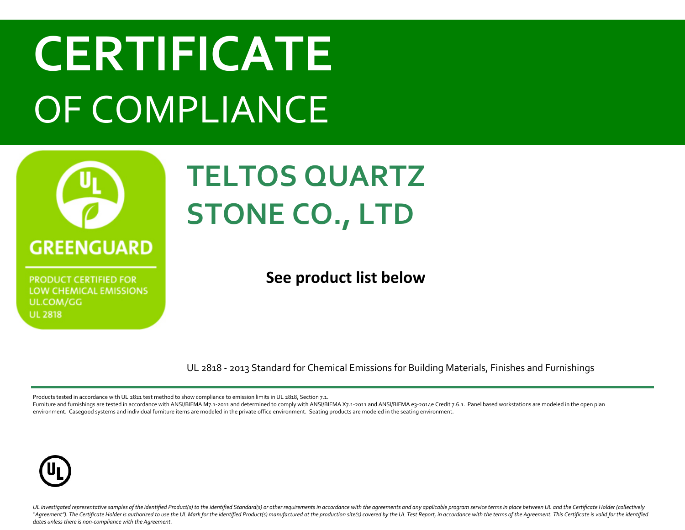

**PRODUCT CERTIFIED FOR** LOW CHEMICAL EMISSIONS UL.COM/GG **UL 2818** 

#### **TELTOS QUARTZ STONE CO., LTD**

**See product list below**

UL 2818 - 2013 Standard for Chemical Emissions for Building Materials, Finishes and Furnishings

Products tested in accordance with UL 2821 test method to show compliance to emission limits in UL 2818, Section 7.1.

Furniture and furnishings are tested in accordance with ANSI/BIFMA M7.1-2011 and determined to comply with ANSI/BIFMA X7.1-2011 and ANSI/BIFMA e3-2014e Credit 7.6.1. Panel based workstations are modeled in the open plan environment. Casegood systems and individual furniture items are modeled in the private office environment. Seating products are modeled in the seating environment.

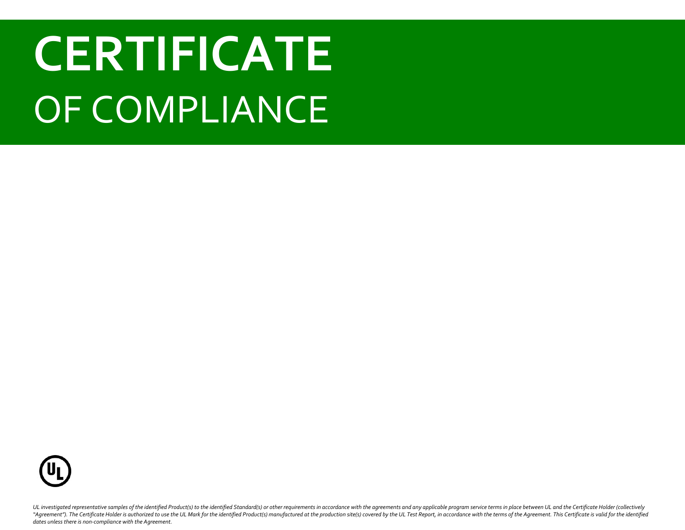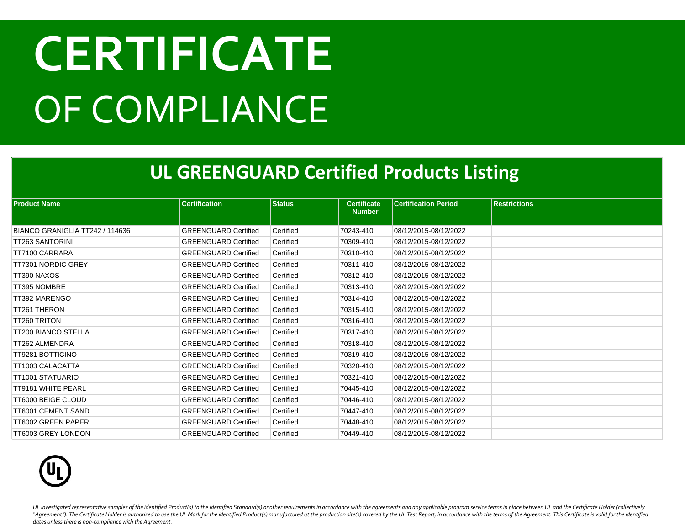#### **UL GREENGUARD Certified Products Listing**

| <b>Product Name</b>             | <b>Certification</b>        | <b>Status</b> | <b>Certificate</b><br><b>Number</b> | <b>Certification Period</b> | <b>Restrictions</b> |
|---------------------------------|-----------------------------|---------------|-------------------------------------|-----------------------------|---------------------|
|                                 |                             |               |                                     |                             |                     |
| BIANCO GRANIGLIA TT242 / 114636 | <b>GREENGUARD Certified</b> | Certified     | 70243-410                           | 08/12/2015-08/12/2022       |                     |
| TT263 SANTORINI                 | <b>GREENGUARD Certified</b> | Certified     | 70309-410                           | 08/12/2015-08/12/2022       |                     |
| TT7100 CARRARA                  | <b>GREENGUARD Certified</b> | Certified     | 70310-410                           | 08/12/2015-08/12/2022       |                     |
| TT7301 NORDIC GREY              | <b>GREENGUARD Certified</b> | Certified     | 70311-410                           | 08/12/2015-08/12/2022       |                     |
| TT390 NAXOS                     | <b>GREENGUARD Certified</b> | Certified     | 70312-410                           | 08/12/2015-08/12/2022       |                     |
| TT395 NOMBRE                    | <b>GREENGUARD Certified</b> | Certified     | 70313-410                           | 08/12/2015-08/12/2022       |                     |
| TT392 MARENGO                   | <b>GREENGUARD Certified</b> | Certified     | 70314-410                           | 08/12/2015-08/12/2022       |                     |
| <b>TT261 THERON</b>             | <b>GREENGUARD Certified</b> | Certified     | 70315-410                           | 08/12/2015-08/12/2022       |                     |
| <b>TT260 TRITON</b>             | <b>GREENGUARD Certified</b> | Certified     | 70316-410                           | 08/12/2015-08/12/2022       |                     |
| TT200 BIANCO STELLA             | <b>GREENGUARD Certified</b> | Certified     | 70317-410                           | 08/12/2015-08/12/2022       |                     |
| TT262 ALMENDRA                  | <b>GREENGUARD Certified</b> | Certified     | 70318-410                           | 08/12/2015-08/12/2022       |                     |
| TT9281 BOTTICINO                | <b>GREENGUARD Certified</b> | Certified     | 70319-410                           | 08/12/2015-08/12/2022       |                     |
| TT1003 CALACATTA                | <b>GREENGUARD Certified</b> | Certified     | 70320-410                           | 08/12/2015-08/12/2022       |                     |
| TT1001 STATUARIO                | <b>GREENGUARD Certified</b> | Certified     | 70321-410                           | 08/12/2015-08/12/2022       |                     |
| TT9181 WHITE PEARL              | <b>GREENGUARD Certified</b> | Certified     | 70445-410                           | 08/12/2015-08/12/2022       |                     |
| TT6000 BEIGE CLOUD              | <b>GREENGUARD Certified</b> | Certified     | 70446-410                           | 08/12/2015-08/12/2022       |                     |
| TT6001 CEMENT SAND              | <b>GREENGUARD Certified</b> | Certified     | 70447-410                           | 08/12/2015-08/12/2022       |                     |
| TT6002 GREEN PAPER              | <b>GREENGUARD Certified</b> | Certified     | 70448-410                           | 08/12/2015-08/12/2022       |                     |
| TT6003 GREY LONDON              | <b>GREENGUARD Certified</b> | Certified     | 70449-410                           | 08/12/2015-08/12/2022       |                     |

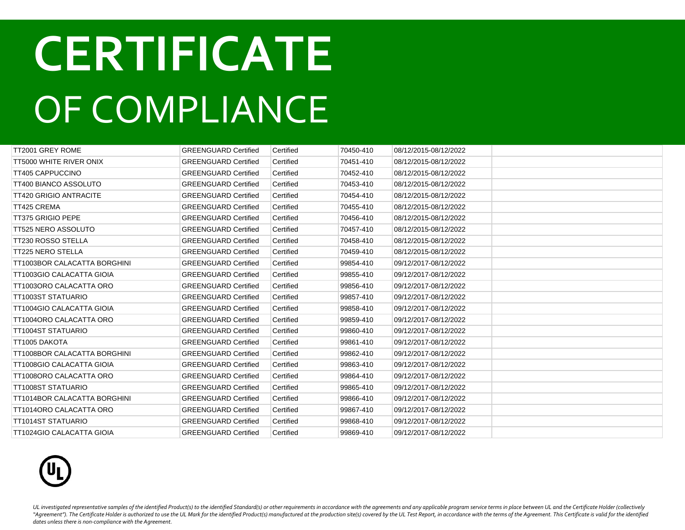| TT2001 GREY ROME                    | <b>GREENGUARD Certified</b> | Certified | 70450-410 | 08/12/2015-08/12/2022 |  |
|-------------------------------------|-----------------------------|-----------|-----------|-----------------------|--|
| TT5000 WHITE RIVER ONIX             | <b>GREENGUARD Certified</b> | Certified | 70451-410 | 08/12/2015-08/12/2022 |  |
| <b>TT405 CAPPUCCINO</b>             | <b>GREENGUARD Certified</b> | Certified | 70452-410 | 08/12/2015-08/12/2022 |  |
| <b>TT400 BIANCO ASSOLUTO</b>        | <b>GREENGUARD Certified</b> | Certified | 70453-410 | 08/12/2015-08/12/2022 |  |
| <b>TT420 GRIGIO ANTRACITE</b>       | <b>GREENGUARD Certified</b> | Certified | 70454-410 | 08/12/2015-08/12/2022 |  |
| TT425 CREMA                         | <b>GREENGUARD Certified</b> | Certified | 70455-410 | 08/12/2015-08/12/2022 |  |
| <b>TT375 GRIGIO PEPE</b>            | <b>GREENGUARD Certified</b> | Certified | 70456-410 | 08/12/2015-08/12/2022 |  |
| <b>TT525 NERO ASSOLUTO</b>          | <b>GREENGUARD Certified</b> | Certified | 70457-410 | 08/12/2015-08/12/2022 |  |
| <b>TT230 ROSSO STELLA</b>           | <b>GREENGUARD Certified</b> | Certified | 70458-410 | 08/12/2015-08/12/2022 |  |
| <b>TT225 NERO STELLA</b>            | <b>GREENGUARD Certified</b> | Certified | 70459-410 | 08/12/2015-08/12/2022 |  |
| TT1003BOR CALACATTA BORGHINI        | <b>GREENGUARD Certified</b> | Certified | 99854-410 | 09/12/2017-08/12/2022 |  |
| TT1003GIO CALACATTA GIOIA           | <b>GREENGUARD Certified</b> | Certified | 99855-410 | 09/12/2017-08/12/2022 |  |
| TT1003ORO CALACATTA ORO             | <b>GREENGUARD Certified</b> | Certified | 99856-410 | 09/12/2017-08/12/2022 |  |
| TT1003ST STATUARIO                  | <b>GREENGUARD Certified</b> | Certified | 99857-410 | 09/12/2017-08/12/2022 |  |
| <b>TT1004GIO CALACATTA GIOIA</b>    | <b>GREENGUARD Certified</b> | Certified | 99858-410 | 09/12/2017-08/12/2022 |  |
| TT1004ORO CALACATTA ORO             | <b>GREENGUARD Certified</b> | Certified | 99859-410 | 09/12/2017-08/12/2022 |  |
| <b>TT1004ST STATUARIO</b>           | <b>GREENGUARD Certified</b> | Certified | 99860-410 | 09/12/2017-08/12/2022 |  |
| TT1005 DAKOTA                       | <b>GREENGUARD Certified</b> | Certified | 99861-410 | 09/12/2017-08/12/2022 |  |
| <b>TT1008BOR CALACATTA BORGHINI</b> | <b>GREENGUARD Certified</b> | Certified | 99862-410 | 09/12/2017-08/12/2022 |  |
| <b>TT1008GIO CALACATTA GIOIA</b>    | <b>GREENGUARD Certified</b> | Certified | 99863-410 | 09/12/2017-08/12/2022 |  |
| TT1008ORO CALACATTA ORO             | <b>GREENGUARD Certified</b> | Certified | 99864-410 | 09/12/2017-08/12/2022 |  |
| <b>TT1008ST STATUARIO</b>           | <b>GREENGUARD Certified</b> | Certified | 99865-410 | 09/12/2017-08/12/2022 |  |
| <b>TT1014BOR CALACATTA BORGHINI</b> | <b>GREENGUARD Certified</b> | Certified | 99866-410 | 09/12/2017-08/12/2022 |  |
| TT1014ORO CALACATTA ORO             | <b>GREENGUARD Certified</b> | Certified | 99867-410 | 09/12/2017-08/12/2022 |  |
| <b>TT1014ST STATUARIO</b>           | <b>GREENGUARD Certified</b> | Certified | 99868-410 | 09/12/2017-08/12/2022 |  |
| TT1024GIO CALACATTA GIOIA           | <b>GREENGUARD Certified</b> | Certified | 99869-410 | 09/12/2017-08/12/2022 |  |

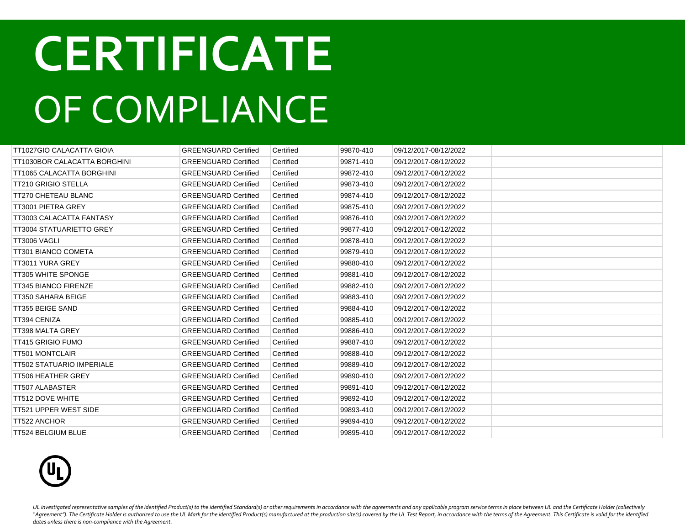| TT1027GIO CALACATTA GIOIA        | <b>GREENGUARD Certified</b> | Certified | 99870-410 | 09/12/2017-08/12/2022 |  |
|----------------------------------|-----------------------------|-----------|-----------|-----------------------|--|
| TT1030BOR CALACATTA BORGHINI     | <b>GREENGUARD Certified</b> | Certified | 99871-410 | 09/12/2017-08/12/2022 |  |
| TT1065 CALACATTA BORGHINI        | <b>GREENGUARD Certified</b> | Certified | 99872-410 | 09/12/2017-08/12/2022 |  |
| <b>TT210 GRIGIO STELLA</b>       | <b>GREENGUARD Certified</b> | Certified | 99873-410 | 09/12/2017-08/12/2022 |  |
| TT270 CHETEAU BLANC              | <b>GREENGUARD Certified</b> | Certified | 99874-410 | 09/12/2017-08/12/2022 |  |
| TT3001 PIETRA GREY               | <b>GREENGUARD Certified</b> | Certified | 99875-410 | 09/12/2017-08/12/2022 |  |
| TT3003 CALACATTA FANTASY         | <b>GREENGUARD Certified</b> | Certified | 99876-410 | 09/12/2017-08/12/2022 |  |
| <b>TT3004 STATUARIETTO GREY</b>  | <b>GREENGUARD Certified</b> | Certified | 99877-410 | 09/12/2017-08/12/2022 |  |
| TT3006 VAGLI                     | <b>GREENGUARD Certified</b> | Certified | 99878-410 | 09/12/2017-08/12/2022 |  |
| TT301 BIANCO COMETA              | <b>GREENGUARD Certified</b> | Certified | 99879-410 | 09/12/2017-08/12/2022 |  |
| TT3011 YURA GREY                 | <b>GREENGUARD Certified</b> | Certified | 99880-410 | 09/12/2017-08/12/2022 |  |
| <b>TT305 WHITE SPONGE</b>        | <b>GREENGUARD Certified</b> | Certified | 99881-410 | 09/12/2017-08/12/2022 |  |
| <b>TT345 BIANCO FIRENZE</b>      | <b>GREENGUARD Certified</b> | Certified | 99882-410 | 09/12/2017-08/12/2022 |  |
| TT350 SAHARA BEIGE               | <b>GREENGUARD Certified</b> | Certified | 99883-410 | 09/12/2017-08/12/2022 |  |
| <b>TT355 BEIGE SAND</b>          | <b>GREENGUARD Certified</b> | Certified | 99884-410 | 09/12/2017-08/12/2022 |  |
| TT394 CENIZA                     | <b>GREENGUARD Certified</b> | Certified | 99885-410 | 09/12/2017-08/12/2022 |  |
| <b>TT398 MALTA GREY</b>          | <b>GREENGUARD Certified</b> | Certified | 99886-410 | 09/12/2017-08/12/2022 |  |
| <b>TT415 GRIGIO FUMO</b>         | <b>GREENGUARD Certified</b> | Certified | 99887-410 | 09/12/2017-08/12/2022 |  |
| <b>TT501 MONTCLAIR</b>           | <b>GREENGUARD Certified</b> | Certified | 99888-410 | 09/12/2017-08/12/2022 |  |
| <b>TT502 STATUARIO IMPERIALE</b> | <b>GREENGUARD Certified</b> | Certified | 99889-410 | 09/12/2017-08/12/2022 |  |
| <b>TT506 HEATHER GREY</b>        | <b>GREENGUARD Certified</b> | Certified | 99890-410 | 09/12/2017-08/12/2022 |  |
| TT507 ALABASTER                  | <b>GREENGUARD Certified</b> | Certified | 99891-410 | 09/12/2017-08/12/2022 |  |
| <b>TT512 DOVE WHITE</b>          | <b>GREENGUARD Certified</b> | Certified | 99892-410 | 09/12/2017-08/12/2022 |  |
| TT521 UPPER WEST SIDE            | <b>GREENGUARD Certified</b> | Certified | 99893-410 | 09/12/2017-08/12/2022 |  |
| <b>TT522 ANCHOR</b>              | <b>GREENGUARD Certified</b> | Certified | 99894-410 | 09/12/2017-08/12/2022 |  |
| TT524 BELGIUM BLUE               | <b>GREENGUARD Certified</b> | Certified | 99895-410 | 09/12/2017-08/12/2022 |  |

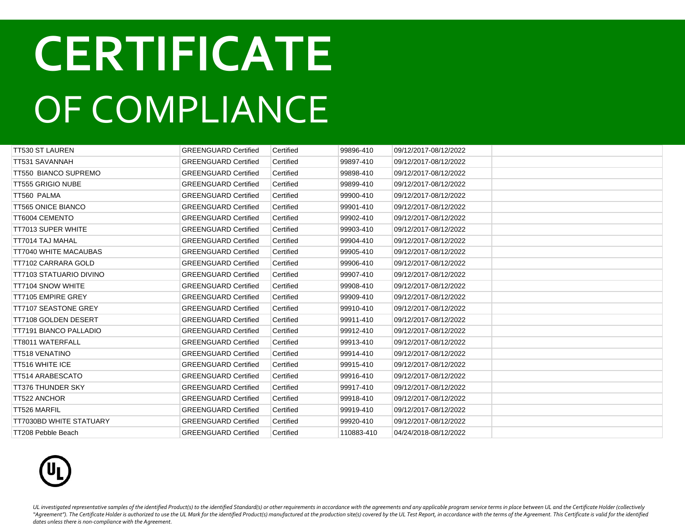| <b>TT530 ST LAUREN</b>         | <b>GREENGUARD Certified</b> | Certified | 99896-410  | 09/12/2017-08/12/2022 |  |
|--------------------------------|-----------------------------|-----------|------------|-----------------------|--|
| TT531 SAVANNAH                 | <b>GREENGUARD Certified</b> | Certified | 99897-410  | 09/12/2017-08/12/2022 |  |
| TT550 BIANCO SUPREMO           | <b>GREENGUARD Certified</b> | Certified | 99898-410  | 09/12/2017-08/12/2022 |  |
| <b>TT555 GRIGIO NUBE</b>       | <b>GREENGUARD Certified</b> | Certified | 99899-410  | 09/12/2017-08/12/2022 |  |
| TT560 PALMA                    | <b>GREENGUARD Certified</b> | Certified | 99900-410  | 09/12/2017-08/12/2022 |  |
| <b>TT565 ONICE BIANCO</b>      | <b>GREENGUARD Certified</b> | Certified | 99901-410  | 09/12/2017-08/12/2022 |  |
| TT6004 CEMENTO                 | <b>GREENGUARD Certified</b> | Certified | 99902-410  | 09/12/2017-08/12/2022 |  |
| <b>TT7013 SUPER WHITE</b>      | <b>GREENGUARD Certified</b> | Certified | 99903-410  | 09/12/2017-08/12/2022 |  |
| TT7014 TAJ MAHAL               | <b>GREENGUARD Certified</b> | Certified | 99904-410  | 09/12/2017-08/12/2022 |  |
| TT7040 WHITE MACAUBAS          | <b>GREENGUARD Certified</b> | Certified | 99905-410  | 09/12/2017-08/12/2022 |  |
| TT7102 CARRARA GOLD            | <b>GREENGUARD Certified</b> | Certified | 99906-410  | 09/12/2017-08/12/2022 |  |
| TT7103 STATUARIO DIVINO        | <b>GREENGUARD Certified</b> | Certified | 99907-410  | 09/12/2017-08/12/2022 |  |
| <b>TT7104 SNOW WHITE</b>       | <b>GREENGUARD Certified</b> | Certified | 99908-410  | 09/12/2017-08/12/2022 |  |
| TT7105 EMPIRE GREY             | <b>GREENGUARD Certified</b> | Certified | 99909-410  | 09/12/2017-08/12/2022 |  |
| <b>TT7107 SEASTONE GREY</b>    | <b>GREENGUARD Certified</b> | Certified | 99910-410  | 09/12/2017-08/12/2022 |  |
| TT7108 GOLDEN DESERT           | <b>GREENGUARD Certified</b> | Certified | 99911-410  | 09/12/2017-08/12/2022 |  |
| TT7191 BIANCO PALLADIO         | <b>GREENGUARD Certified</b> | Certified | 99912-410  | 09/12/2017-08/12/2022 |  |
| TT8011 WATERFALL               | <b>GREENGUARD Certified</b> | Certified | 99913-410  | 09/12/2017-08/12/2022 |  |
| <b>TT518 VENATINO</b>          | <b>GREENGUARD Certified</b> | Certified | 99914-410  | 09/12/2017-08/12/2022 |  |
| <b>TT516 WHITE ICE</b>         | <b>GREENGUARD Certified</b> | Certified | 99915-410  | 09/12/2017-08/12/2022 |  |
| <b>TT514 ARABESCATO</b>        | <b>GREENGUARD Certified</b> | Certified | 99916-410  | 09/12/2017-08/12/2022 |  |
| <b>TT376 THUNDER SKY</b>       | <b>GREENGUARD Certified</b> | Certified | 99917-410  | 09/12/2017-08/12/2022 |  |
| <b>TT522 ANCHOR</b>            | <b>GREENGUARD Certified</b> | Certified | 99918-410  | 09/12/2017-08/12/2022 |  |
| TT526 MARFIL                   | <b>GREENGUARD Certified</b> | Certified | 99919-410  | 09/12/2017-08/12/2022 |  |
| <b>TT7030BD WHITE STATUARY</b> | <b>GREENGUARD Certified</b> | Certified | 99920-410  | 09/12/2017-08/12/2022 |  |
| TT208 Pebble Beach             | <b>GREENGUARD Certified</b> | Certified | 110883-410 | 04/24/2018-08/12/2022 |  |

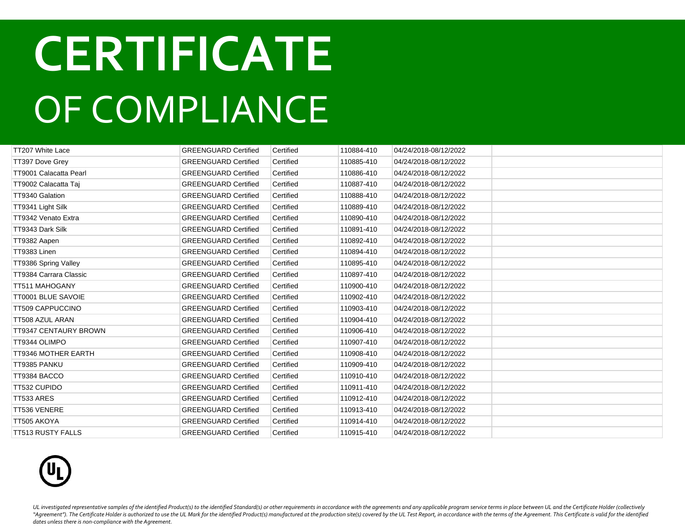| TT207 White Lace          | <b>GREENGUARD Certified</b> | Certified | 110884-410 | 04/24/2018-08/12/2022 |  |
|---------------------------|-----------------------------|-----------|------------|-----------------------|--|
| TT397 Dove Grey           | <b>GREENGUARD Certified</b> | Certified | 110885-410 | 04/24/2018-08/12/2022 |  |
| TT9001 Calacatta Pearl    | <b>GREENGUARD Certified</b> | Certified | 110886-410 | 04/24/2018-08/12/2022 |  |
| TT9002 Calacatta Taj      | <b>GREENGUARD Certified</b> | Certified | 110887-410 | 04/24/2018-08/12/2022 |  |
| TT9340 Galation           | <b>GREENGUARD Certified</b> | Certified | 110888-410 | 04/24/2018-08/12/2022 |  |
| TT9341 Light Silk         | <b>GREENGUARD Certified</b> | Certified | 110889-410 | 04/24/2018-08/12/2022 |  |
| TT9342 Venato Extra       | <b>GREENGUARD Certified</b> | Certified | 110890-410 | 04/24/2018-08/12/2022 |  |
| TT9343 Dark Silk          | <b>GREENGUARD Certified</b> | Certified | 110891-410 | 04/24/2018-08/12/2022 |  |
| TT9382 Aapen              | <b>GREENGUARD Certified</b> | Certified | 110892-410 | 04/24/2018-08/12/2022 |  |
| TT9383 Linen              | <b>GREENGUARD Certified</b> | Certified | 110894-410 | 04/24/2018-08/12/2022 |  |
| TT9386 Spring Valley      | <b>GREENGUARD Certified</b> | Certified | 110895-410 | 04/24/2018-08/12/2022 |  |
| TT9384 Carrara Classic    | <b>GREENGUARD Certified</b> | Certified | 110897-410 | 04/24/2018-08/12/2022 |  |
| <b>TT511 MAHOGANY</b>     | <b>GREENGUARD Certified</b> | Certified | 110900-410 | 04/24/2018-08/12/2022 |  |
| <b>TT0001 BLUE SAVOIE</b> | <b>GREENGUARD Certified</b> | Certified | 110902-410 | 04/24/2018-08/12/2022 |  |
| TT509 CAPPUCCINO          | <b>GREENGUARD Certified</b> | Certified | 110903-410 | 04/24/2018-08/12/2022 |  |
| TT508 AZUL ARAN           | <b>GREENGUARD Certified</b> | Certified | 110904-410 | 04/24/2018-08/12/2022 |  |
| TT9347 CENTAURY BROWN     | <b>GREENGUARD Certified</b> | Certified | 110906-410 | 04/24/2018-08/12/2022 |  |
| TT9344 OLIMPO             | <b>GREENGUARD Certified</b> | Certified | 110907-410 | 04/24/2018-08/12/2022 |  |
| TT9346 MOTHER EARTH       | <b>GREENGUARD Certified</b> | Certified | 110908-410 | 04/24/2018-08/12/2022 |  |
| TT9385 PANKU              | <b>GREENGUARD Certified</b> | Certified | 110909-410 | 04/24/2018-08/12/2022 |  |
| TT9384 BACCO              | <b>GREENGUARD Certified</b> | Certified | 110910-410 | 04/24/2018-08/12/2022 |  |
| TT532 CUPIDO              | <b>GREENGUARD Certified</b> | Certified | 110911-410 | 04/24/2018-08/12/2022 |  |
| TT533 ARES                | <b>GREENGUARD Certified</b> | Certified | 110912-410 | 04/24/2018-08/12/2022 |  |
| TT536 VENERE              | <b>GREENGUARD Certified</b> | Certified | 110913-410 | 04/24/2018-08/12/2022 |  |
| TT505 AKOYA               | <b>GREENGUARD Certified</b> | Certified | 110914-410 | 04/24/2018-08/12/2022 |  |
| TT513 RUSTY FALLS         | <b>GREENGUARD Certified</b> | Certified | 110915-410 | 04/24/2018-08/12/2022 |  |

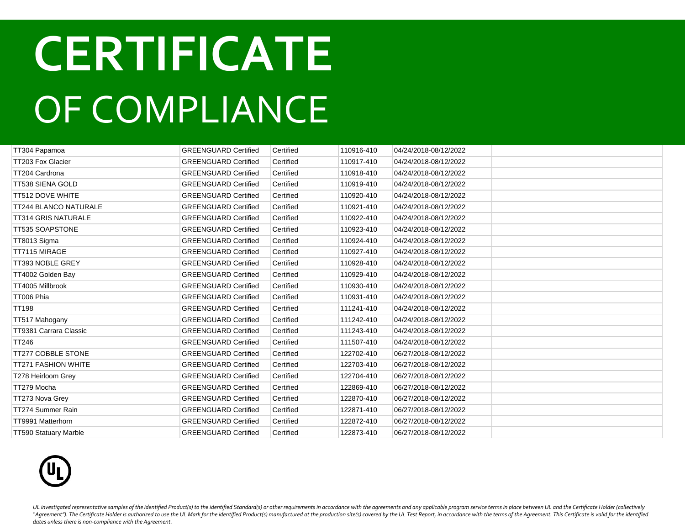| TT304 Papamoa                | <b>GREENGUARD Certified</b> | Certified | 110916-410 | 04/24/2018-08/12/2022 |  |
|------------------------------|-----------------------------|-----------|------------|-----------------------|--|
| TT203 Fox Glacier            | <b>GREENGUARD Certified</b> | Certified | 110917-410 | 04/24/2018-08/12/2022 |  |
| TT204 Cardrona               | <b>GREENGUARD Certified</b> | Certified | 110918-410 | 04/24/2018-08/12/2022 |  |
| TT538 SIENA GOLD             | <b>GREENGUARD Certified</b> | Certified | 110919-410 | 04/24/2018-08/12/2022 |  |
| TT512 DOVE WHITE             | <b>GREENGUARD Certified</b> | Certified | 110920-410 | 04/24/2018-08/12/2022 |  |
| TT244 BLANCO NATURALE        | <b>GREENGUARD Certified</b> | Certified | 110921-410 | 04/24/2018-08/12/2022 |  |
| <b>TT314 GRIS NATURALE</b>   | <b>GREENGUARD Certified</b> | Certified | 110922-410 | 04/24/2018-08/12/2022 |  |
| TT535 SOAPSTONE              | <b>GREENGUARD Certified</b> | Certified | 110923-410 | 04/24/2018-08/12/2022 |  |
| TT8013 Sigma                 | <b>GREENGUARD Certified</b> | Certified | 110924-410 | 04/24/2018-08/12/2022 |  |
| TT7115 MIRAGE                | <b>GREENGUARD Certified</b> | Certified | 110927-410 | 04/24/2018-08/12/2022 |  |
| TT393 NOBLE GREY             | <b>GREENGUARD Certified</b> | Certified | 110928-410 | 04/24/2018-08/12/2022 |  |
| TT4002 Golden Bay            | <b>GREENGUARD Certified</b> | Certified | 110929-410 | 04/24/2018-08/12/2022 |  |
| TT4005 Millbrook             | <b>GREENGUARD Certified</b> | Certified | 110930-410 | 04/24/2018-08/12/2022 |  |
| TT006 Phia                   | <b>GREENGUARD Certified</b> | Certified | 110931-410 | 04/24/2018-08/12/2022 |  |
| <b>TT198</b>                 | <b>GREENGUARD Certified</b> | Certified | 111241-410 | 04/24/2018-08/12/2022 |  |
| TT517 Mahogany               | <b>GREENGUARD Certified</b> | Certified | 111242-410 | 04/24/2018-08/12/2022 |  |
| TT9381 Carrara Classic       | <b>GREENGUARD Certified</b> | Certified | 111243-410 | 04/24/2018-08/12/2022 |  |
| <b>TT246</b>                 | <b>GREENGUARD Certified</b> | Certified | 111507-410 | 04/24/2018-08/12/2022 |  |
| <b>TT277 COBBLE STONE</b>    | <b>GREENGUARD Certified</b> | Certified | 122702-410 | 06/27/2018-08/12/2022 |  |
| <b>TT271 FASHION WHITE</b>   | <b>GREENGUARD Certified</b> | Certified | 122703-410 | 06/27/2018-08/12/2022 |  |
| T278 Heirloom Grey           | <b>GREENGUARD Certified</b> | Certified | 122704-410 | 06/27/2018-08/12/2022 |  |
| TT279 Mocha                  | <b>GREENGUARD Certified</b> | Certified | 122869-410 | 06/27/2018-08/12/2022 |  |
| TT273 Nova Grey              | <b>GREENGUARD Certified</b> | Certified | 122870-410 | 06/27/2018-08/12/2022 |  |
| TT274 Summer Rain            | <b>GREENGUARD Certified</b> | Certified | 122871-410 | 06/27/2018-08/12/2022 |  |
| TT9991 Matterhorn            | <b>GREENGUARD Certified</b> | Certified | 122872-410 | 06/27/2018-08/12/2022 |  |
| <b>TT590 Statuary Marble</b> | <b>GREENGUARD Certified</b> | Certified | 122873-410 | 06/27/2018-08/12/2022 |  |

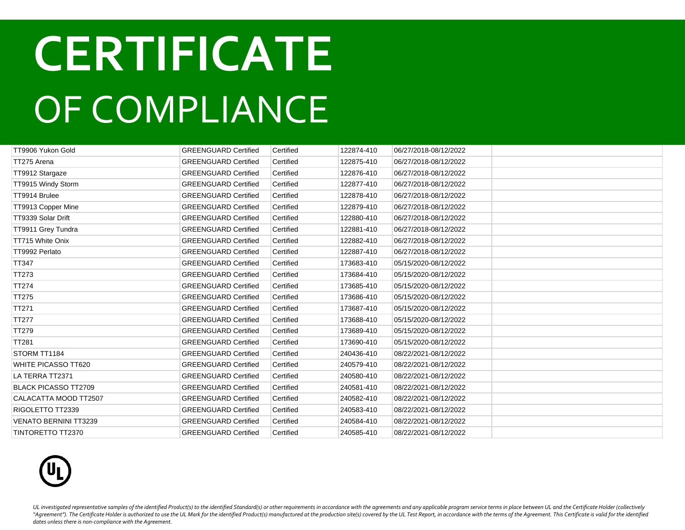| TT9906 Yukon Gold            | <b>GREENGUARD Certified</b> | Certified | 122874-410 | 06/27/2018-08/12/2022 |  |
|------------------------------|-----------------------------|-----------|------------|-----------------------|--|
| TT275 Arena                  | <b>GREENGUARD Certified</b> | Certified | 122875-410 | 06/27/2018-08/12/2022 |  |
| TT9912 Stargaze              | <b>GREENGUARD Certified</b> | Certified | 122876-410 | 06/27/2018-08/12/2022 |  |
| TT9915 Windy Storm           | <b>GREENGUARD Certified</b> | Certified | 122877-410 | 06/27/2018-08/12/2022 |  |
| TT9914 Brulee                | <b>GREENGUARD Certified</b> | Certified | 122878-410 | 06/27/2018-08/12/2022 |  |
| TT9913 Copper Mine           | <b>GREENGUARD Certified</b> | Certified | 122879-410 | 06/27/2018-08/12/2022 |  |
| TT9339 Solar Drift           | <b>GREENGUARD Certified</b> | Certified | 122880-410 | 06/27/2018-08/12/2022 |  |
| TT9911 Grey Tundra           | <b>GREENGUARD Certified</b> | Certified | 122881-410 | 06/27/2018-08/12/2022 |  |
| TT715 White Onix             | <b>GREENGUARD Certified</b> | Certified | 122882-410 | 06/27/2018-08/12/2022 |  |
| TT9992 Perlato               | <b>GREENGUARD Certified</b> | Certified | 122887-410 | 06/27/2018-08/12/2022 |  |
| TT347                        | <b>GREENGUARD Certified</b> | Certified | 173683-410 | 05/15/2020-08/12/2022 |  |
| TT273                        | <b>GREENGUARD Certified</b> | Certified | 173684-410 | 05/15/2020-08/12/2022 |  |
| TT274                        | <b>GREENGUARD Certified</b> | Certified | 173685-410 | 05/15/2020-08/12/2022 |  |
| <b>TT275</b>                 | <b>GREENGUARD Certified</b> | Certified | 173686-410 | 05/15/2020-08/12/2022 |  |
| <b>TT271</b>                 | <b>GREENGUARD Certified</b> | Certified | 173687-410 | 05/15/2020-08/12/2022 |  |
| TT277                        | <b>GREENGUARD Certified</b> | Certified | 173688-410 | 05/15/2020-08/12/2022 |  |
| TT279                        | <b>GREENGUARD Certified</b> | Certified | 173689-410 | 05/15/2020-08/12/2022 |  |
| <b>TT281</b>                 | <b>GREENGUARD Certified</b> | Certified | 173690-410 | 05/15/2020-08/12/2022 |  |
| STORM TT1184                 | <b>GREENGUARD Certified</b> | Certified | 240436-410 | 08/22/2021-08/12/2022 |  |
| WHITE PICASSO TT620          | <b>GREENGUARD Certified</b> | Certified | 240579-410 | 08/22/2021-08/12/2022 |  |
| LA TERRA TT2371              | <b>GREENGUARD Certified</b> | Certified | 240580-410 | 08/22/2021-08/12/2022 |  |
| <b>BLACK PICASSO TT2709</b>  | <b>GREENGUARD Certified</b> | Certified | 240581-410 | 08/22/2021-08/12/2022 |  |
| CALACATTA MOOD TT2507        | <b>GREENGUARD Certified</b> | Certified | 240582-410 | 08/22/2021-08/12/2022 |  |
| RIGOLETTO TT2339             | <b>GREENGUARD Certified</b> | Certified | 240583-410 | 08/22/2021-08/12/2022 |  |
| <b>VENATO BERNINI TT3239</b> | <b>GREENGUARD Certified</b> | Certified | 240584-410 | 08/22/2021-08/12/2022 |  |
| <b>TINTORETTO TT2370</b>     | <b>GREENGUARD Certified</b> | Certified | 240585-410 | 08/22/2021-08/12/2022 |  |

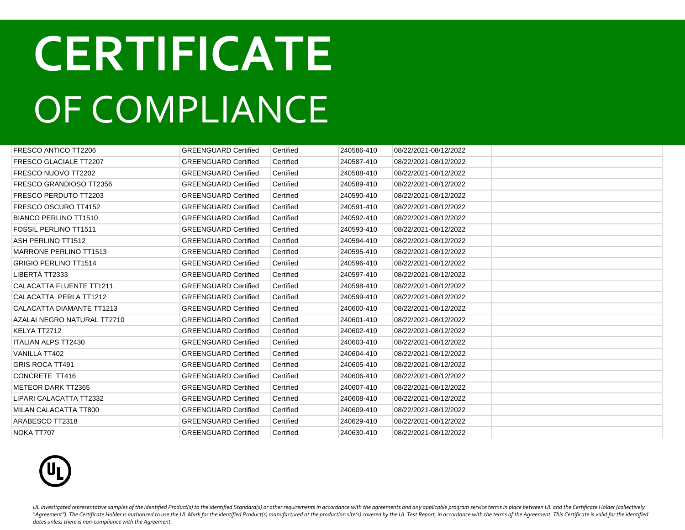| FRESCO ANTICO TT2206            | <b>GREENGUARD Certified</b> | Certified | 240586-410 | 08/22/2021-08/12/2022 |  |
|---------------------------------|-----------------------------|-----------|------------|-----------------------|--|
| <b>FRESCO GLACIALE TT2207</b>   | <b>GREENGUARD Certified</b> | Certified | 240587-410 | 08/22/2021-08/12/2022 |  |
| FRESCO NUOVO TT2202             | <b>GREENGUARD Certified</b> | Certified | 240588-410 | 08/22/2021-08/12/2022 |  |
| FRESCO GRANDIOSO TT2356         | <b>GREENGUARD Certified</b> | Certified | 240589-410 | 08/22/2021-08/12/2022 |  |
| FRESCO PERDUTO TT2203           | <b>GREENGUARD Certified</b> | Certified | 240590-410 | 08/22/2021-08/12/2022 |  |
| FRESCO OSCURO TT4152            | <b>GREENGUARD Certified</b> | Certified | 240591-410 | 08/22/2021-08/12/2022 |  |
| BIANCO PERLINO TT1510           | <b>GREENGUARD Certified</b> | Certified | 240592-410 | 08/22/2021-08/12/2022 |  |
| <b>FOSSIL PERLINO TT1511</b>    | <b>GREENGUARD Certified</b> | Certified | 240593-410 | 08/22/2021-08/12/2022 |  |
| ASH PERLINO TT1512              | <b>GREENGUARD Certified</b> | Certified | 240594-410 | 08/22/2021-08/12/2022 |  |
| <b>MARRONE PERLINO TT1513</b>   | <b>GREENGUARD Certified</b> | Certified | 240595-410 | 08/22/2021-08/12/2022 |  |
| <b>GRIGIO PERLINO TT1514</b>    | <b>GREENGUARD Certified</b> | Certified | 240596-410 | 08/22/2021-08/12/2022 |  |
| LIBERTÀ TT2333                  | <b>GREENGUARD Certified</b> | Certified | 240597-410 | 08/22/2021-08/12/2022 |  |
| <b>CALACATTA FLUENTE TT1211</b> | <b>GREENGUARD Certified</b> | Certified | 240598-410 | 08/22/2021-08/12/2022 |  |
| CALACATTA PERLA TT1212          | <b>GREENGUARD Certified</b> | Certified | 240599-410 | 08/22/2021-08/12/2022 |  |
| CALACATTA DIAMANTE TT1213       | <b>GREENGUARD Certified</b> | Certified | 240600-410 | 08/22/2021-08/12/2022 |  |
| AZALAI NEGRO NATURAL TT2710     | <b>GREENGUARD Certified</b> | Certified | 240601-410 | 08/22/2021-08/12/2022 |  |
| KELYA TT2712                    | <b>GREENGUARD Certified</b> | Certified | 240602-410 | 08/22/2021-08/12/2022 |  |
| <b>ITALIAN ALPS TT2430</b>      | <b>GREENGUARD Certified</b> | Certified | 240603-410 | 08/22/2021-08/12/2022 |  |
| VANILLA TT402                   | <b>GREENGUARD Certified</b> | Certified | 240604-410 | 08/22/2021-08/12/2022 |  |
| <b>GRIS ROCA TT491</b>          | <b>GREENGUARD Certified</b> | Certified | 240605-410 | 08/22/2021-08/12/2022 |  |
| CONCRETE TT416                  | <b>GREENGUARD Certified</b> | Certified | 240606-410 | 08/22/2021-08/12/2022 |  |
| <b>METEOR DARK TT2365</b>       | <b>GREENGUARD Certified</b> | Certified | 240607-410 | 08/22/2021-08/12/2022 |  |
| LIPARI CALACATTA TT2332         | <b>GREENGUARD Certified</b> | Certified | 240608-410 | 08/22/2021-08/12/2022 |  |
| MILAN CALACATTA TT800           | <b>GREENGUARD Certified</b> | Certified | 240609-410 | 08/22/2021-08/12/2022 |  |
| ARABESCO TT2318                 | <b>GREENGUARD Certified</b> | Certified | 240629-410 | 08/22/2021-08/12/2022 |  |
| NOKA TT707                      | <b>GREENGUARD Certified</b> | Certified | 240630-410 | 08/22/2021-08/12/2022 |  |

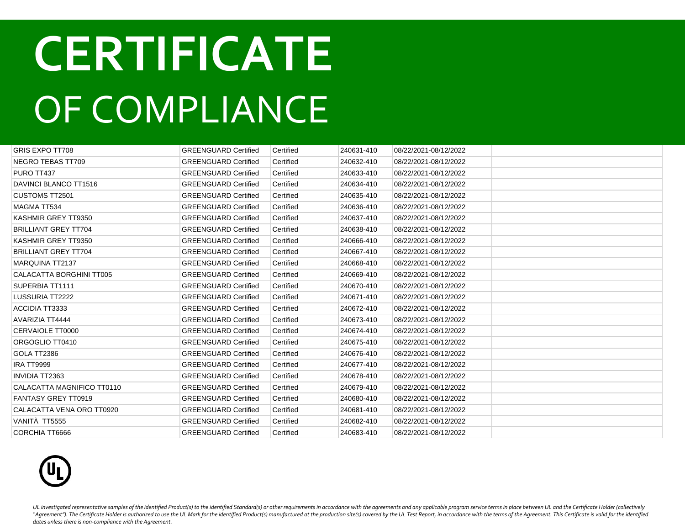| <b>GRIS EXPO TT708</b>      | <b>GREENGUARD Certified</b> | Certified | 240631-410 | 08/22/2021-08/12/2022 |  |
|-----------------------------|-----------------------------|-----------|------------|-----------------------|--|
| NEGRO TEBAS TT709           | <b>GREENGUARD Certified</b> | Certified | 240632-410 | 08/22/2021-08/12/2022 |  |
| PURO TT437                  | <b>GREENGUARD Certified</b> | Certified | 240633-410 | 08/22/2021-08/12/2022 |  |
| DAVINCI BLANCO TT1516       | <b>GREENGUARD Certified</b> | Certified | 240634-410 | 08/22/2021-08/12/2022 |  |
| <b>CUSTOMS TT2501</b>       | <b>GREENGUARD Certified</b> | Certified | 240635-410 | 08/22/2021-08/12/2022 |  |
| <b>MAGMA TT534</b>          | <b>GREENGUARD Certified</b> | Certified | 240636-410 | 08/22/2021-08/12/2022 |  |
| KASHMIR GREY TT9350         | <b>GREENGUARD Certified</b> | Certified | 240637-410 | 08/22/2021-08/12/2022 |  |
| <b>BRILLIANT GREY TT704</b> | <b>GREENGUARD Certified</b> | Certified | 240638-410 | 08/22/2021-08/12/2022 |  |
| KASHMIR GREY TT9350         | <b>GREENGUARD Certified</b> | Certified | 240666-410 | 08/22/2021-08/12/2022 |  |
| <b>BRILLIANT GREY TT704</b> | <b>GREENGUARD Certified</b> | Certified | 240667-410 | 08/22/2021-08/12/2022 |  |
| <b>MARQUINA TT2137</b>      | <b>GREENGUARD Certified</b> | Certified | 240668-410 | 08/22/2021-08/12/2022 |  |
| CALACATTA BORGHINI TT005    | <b>GREENGUARD Certified</b> | Certified | 240669-410 | 08/22/2021-08/12/2022 |  |
| SUPERBIA TT1111             | <b>GREENGUARD Certified</b> | Certified | 240670-410 | 08/22/2021-08/12/2022 |  |
| LUSSURIA TT2222             | <b>GREENGUARD Certified</b> | Certified | 240671-410 | 08/22/2021-08/12/2022 |  |
| <b>ACCIDIA TT3333</b>       | <b>GREENGUARD Certified</b> | Certified | 240672-410 | 08/22/2021-08/12/2022 |  |
| <b>AVARIZIA TT4444</b>      | <b>GREENGUARD Certified</b> | Certified | 240673-410 | 08/22/2021-08/12/2022 |  |
| CERVAIOLE TT0000            | <b>GREENGUARD Certified</b> | Certified | 240674-410 | 08/22/2021-08/12/2022 |  |
| ORGOGLIO TT0410             | <b>GREENGUARD Certified</b> | Certified | 240675-410 | 08/22/2021-08/12/2022 |  |
| GOLA TT2386                 | <b>GREENGUARD Certified</b> | Certified | 240676-410 | 08/22/2021-08/12/2022 |  |
| <b>IRA TT9999</b>           | <b>GREENGUARD Certified</b> | Certified | 240677-410 | 08/22/2021-08/12/2022 |  |
| <b>INVIDIA TT2363</b>       | <b>GREENGUARD Certified</b> | Certified | 240678-410 | 08/22/2021-08/12/2022 |  |
| CALACATTA MAGNIFICO TT0110  | <b>GREENGUARD Certified</b> | Certified | 240679-410 | 08/22/2021-08/12/2022 |  |
| <b>FANTASY GREY TT0919</b>  | <b>GREENGUARD Certified</b> | Certified | 240680-410 | 08/22/2021-08/12/2022 |  |
| CALACATTA VENA ORO TT0920   | <b>GREENGUARD Certified</b> | Certified | 240681-410 | 08/22/2021-08/12/2022 |  |
| VANITÀ TT5555               | <b>GREENGUARD Certified</b> | Certified | 240682-410 | 08/22/2021-08/12/2022 |  |
| CORCHIA TT6666              | <b>GREENGUARD Certified</b> | Certified | 240683-410 | 08/22/2021-08/12/2022 |  |